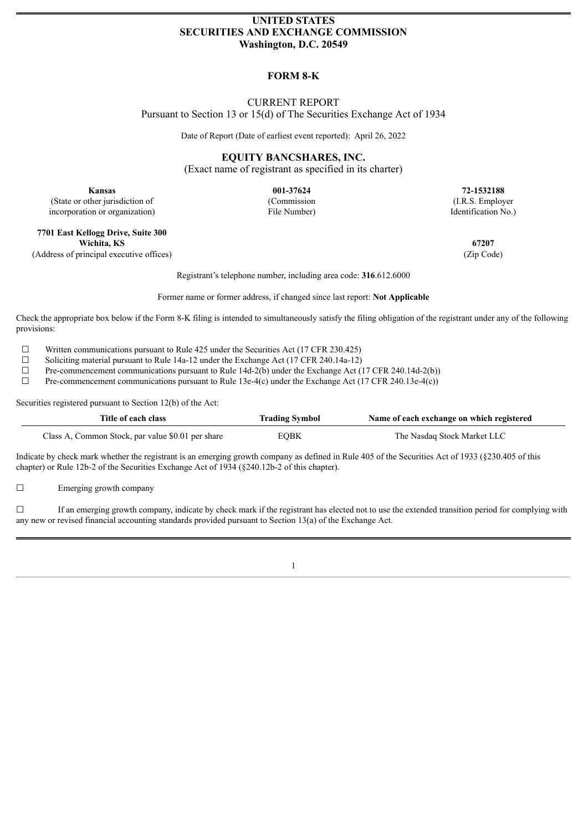## **UNITED STATES SECURITIES AND EXCHANGE COMMISSION Washington, D.C. 20549**

## **FORM 8-K**

# CURRENT REPORT

Pursuant to Section 13 or 15(d) of The Securities Exchange Act of 1934

Date of Report (Date of earliest event reported): April 26, 2022

**EQUITY BANCSHARES, INC.**

(Exact name of registrant as specified in its charter)

**Kansas 001-37624 72-1532188** (State or other jurisdiction of incorporation or organization)

**7701 East Kellogg Drive, Suite 300**

(Commission File Number)

(I.R.S. Employer Identification No.)

**Wichita, KS 67207** (Address of principal executive offices) (Zip Code)

Registrant's telephone number, including area code: **316**.612.6000

Former name or former address, if changed since last report: **Not Applicable**

Check the appropriate box below if the Form 8-K filing is intended to simultaneously satisfy the filing obligation of the registrant under any of the following provisions:

☐ Written communications pursuant to Rule 425 under the Securities Act (17 CFR 230.425)

 $\Box$  Soliciting material pursuant to Rule 14a-12 under the Exchange Act (17 CFR 240.14a-12)

 $\Box$  Pre-commencement communications pursuant to Rule 14d-2(b) under the Exchange Act (17 CFR 240.14d-2(b))

 $\Box$  Pre-commencement communications pursuant to Rule 13e-4(c) under the Exchange Act (17 CFR 240.13e-4(c))

Securities registered pursuant to Section 12(b) of the Act:

| Title of each class                               | <b>Trading Symbol</b> | Name of each exchange on which registered |
|---------------------------------------------------|-----------------------|-------------------------------------------|
| Class A, Common Stock, par value \$0.01 per share | EQBK                  | The Nasdaq Stock Market LLC               |

Indicate by check mark whether the registrant is an emerging growth company as defined in Rule 405 of the Securities Act of 1933 (§230.405 of this chapter) or Rule 12b-2 of the Securities Exchange Act of 1934 (§240.12b-2 of this chapter).

☐ Emerging growth company

 $\Box$  If an emerging growth company, indicate by check mark if the registrant has elected not to use the extended transition period for complying with any new or revised financial accounting standards provided pursuant to Section 13(a) of the Exchange Act.

1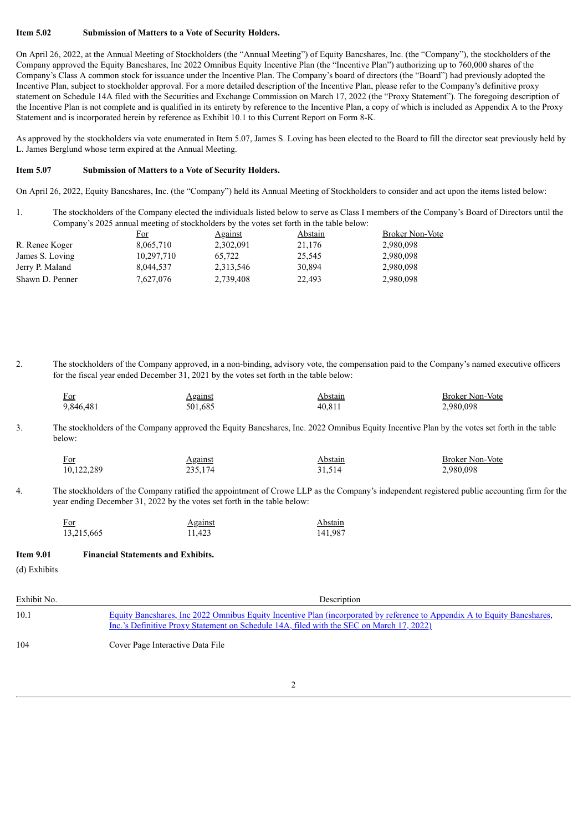#### **Item 5.02 Submission of Matters to a Vote of Security Holders.**

On April 26, 2022, at the Annual Meeting of Stockholders (the "Annual Meeting") of Equity Bancshares, Inc. (the "Company"), the stockholders of the Company approved the Equity Bancshares, Inc 2022 Omnibus Equity Incentive Plan (the "Incentive Plan") authorizing up to 760,000 shares of the Company's Class A common stock for issuance under the Incentive Plan. The Company's board of directors (the "Board") had previously adopted the Incentive Plan, subject to stockholder approval. For a more detailed description of the Incentive Plan, please refer to the Company's definitive proxy statement on Schedule 14A filed with the Securities and Exchange Commission on March 17, 2022 (the "Proxy Statement"). The foregoing description of the Incentive Plan is not complete and is qualified in its entirety by reference to the Incentive Plan, a copy of which is included as Appendix A to the Proxy Statement and is incorporated herein by reference as Exhibit 10.1 to this Current Report on Form 8-K.

As approved by the stockholders via vote enumerated in Item 5.07, James S. Loving has been elected to the Board to fill the director seat previously held by L. James Berglund whose term expired at the Annual Meeting.

#### **Item 5.07 Submission of Matters to a Vote of Security Holders.**

On April 26, 2022, Equity Bancshares, Inc. (the "Company") held its Annual Meeting of Stockholders to consider and act upon the items listed below:

1. The stockholders of the Company elected the individuals listed below to serve as Class I members of the Company's Board of Directors until the Company's 2025 annual meeting of stockholders by the votes set forth in the table below:

|                 | For        | <b>Against</b> | Abstain | <b>Broker Non-Vote</b> |
|-----------------|------------|----------------|---------|------------------------|
| R. Renee Koger  | 8,065,710  | 2,302,091      | 21.176  | 2,980,098              |
| James S. Loving | 10.297.710 | 65.722         | 25.545  | 2.980.098              |
| Jerry P. Maland | 8.044.537  | 2,313,546      | 30.894  | 2,980,098              |
| Shawn D. Penner | 7,627,076  | 2,739,408      | 22.493  | 2,980,098              |

2. The stockholders of the Company approved, in a non-binding, advisory vote, the compensation paid to the Company's named executive officers for the fiscal year ended December 31, 2021 by the votes set forth in the table below:

| For       | <b>Against</b> | Abstain | <b>Broker Non-Vote</b> |
|-----------|----------------|---------|------------------------|
| 9,846,481 | 501.685        | 40.811  | 2,980,098              |

3. The stockholders of the Company approved the Equity Bancshares, Inc. 2022 Omnibus Equity Incentive Plan by the votes set forth in the table below:

| <u>For</u> | <b>Against</b> | Abstain | <b>Broker Non-Vote</b> |
|------------|----------------|---------|------------------------|
| 10,122,289 | 235.174        | 31.514  | 2,980,098              |

4. The stockholders of the Company ratified the appointment of Crowe LLP as the Company's independent registered public accounting firm for the year ending December 31, 2022 by the votes set forth in the table below:

| For        | <b>Against</b> | Abstain |
|------------|----------------|---------|
| 13,215,665 | 11.423         | 141,987 |

# **Item 9.01 Financial Statements and Exhibits.**

(d) Exhibits

| Exhibit No. | Description                                                                                                                                                                                                          |
|-------------|----------------------------------------------------------------------------------------------------------------------------------------------------------------------------------------------------------------------|
| 10.1        | Equity Bancshares, Inc 2022 Omnibus Equity Incentive Plan (incorporated by reference to Appendix A to Equity Bancshares,<br>Inc.'s Definitive Proxy Statement on Schedule 14A, filed with the SEC on March 17, 2022) |
| 104         | Cover Page Interactive Data File                                                                                                                                                                                     |